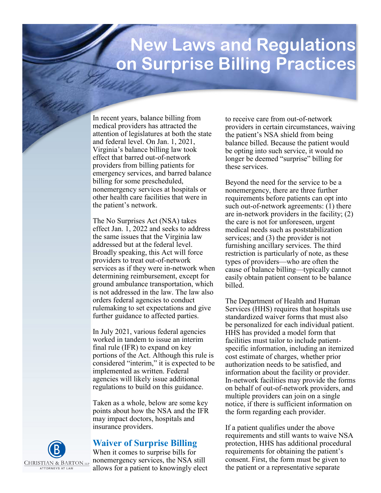# **New Laws and Regulations on Surprise Billing Practices**

In recent years, balance billing from medical providers has attracted the attention of legislatures at both the state and federal level. On Jan. 1, 2021, Virginia's balance billing law took effect that barred out-of-network providers from billing patients for emergency services, and barred balance billing for some prescheduled, nonemergency services at hospitals or other health care facilities that were in the patient's network.

The No Surprises Act (NSA) takes effect Jan. 1, 2022 and seeks to address the same issues that the Virginia law addressed but at the federal level. Broadly speaking, this Act will force providers to treat out-of-network services as if they were in-network when determining reimbursement, except for ground ambulance transportation, which is not addressed in the law. The law also orders federal agencies to conduct rulemaking to set expectations and give further guidance to affected parties.

In July 2021, various federal agencies worked in tandem to issue an interim final rule (IFR) to expand on key portions of the Act. Although this rule is considered "interim," it is expected to be implemented as written. Federal agencies will likely issue additional regulations to build on this guidance.

Taken as a whole, below are some key points about how the NSA and the IFR may impact doctors, hospitals and insurance providers.

## **Waiver of Surprise Billing**

When it comes to surprise bills for nonemergency services, the NSA still allows for a patient to knowingly elect

to receive care from out-of-network providers in certain circumstances, waiving the patient's NSA shield from being balance billed. Because the patient would be opting into such service, it would no longer be deemed "surprise" billing for these services.

Beyond the need for the service to be a nonemergency, there are three further requirements before patients can opt into such out-of-network agreements: (1) there are in-network providers in the facility; (2) the care is not for unforeseen, urgent medical needs such as poststabilization services; and (3) the provider is not furnishing ancillary services. The third restriction is particularly of note, as these types of providers—who are often the cause of balance billing—typically cannot easily obtain patient consent to be balance billed.

The Department of Health and Human Services (HHS) requires that hospitals use standardized waiver forms that must also be personalized for each individual patient. HHS has provided a model form that facilities must tailor to include patientspecific information, including an itemized cost estimate of charges, whether prior authorization needs to be satisfied, and information about the facility or provider. In-network facilities may provide the forms on behalf of out-of-network providers, and multiple providers can join on a single notice, if there is sufficient information on the form regarding each provider.

If a patient qualifies under the above requirements and still wants to waive NSA protection, HHS has additional procedural requirements for obtaining the patient's consent. First, the form must be given to the patient or a representative separate